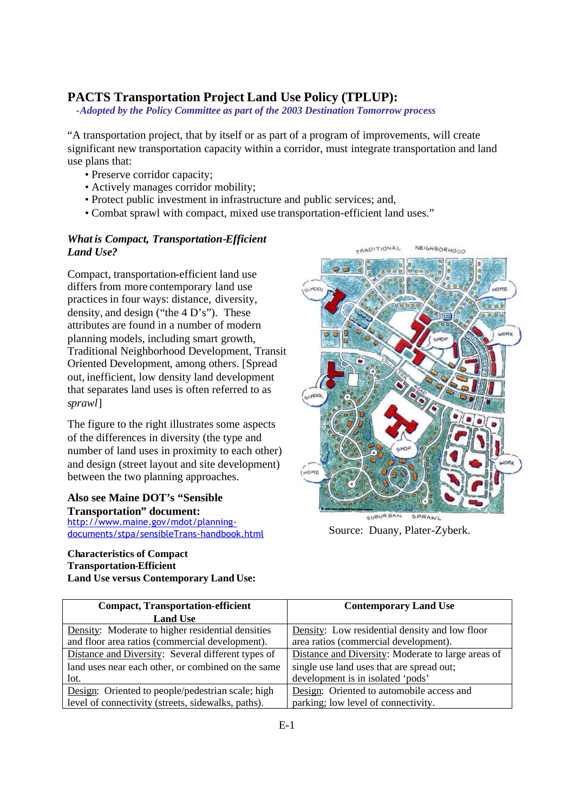## **PACTS Transportation Project Land Use Policy (TPLUP):**

*-Adopted by the Policy Committee as part of the 2003 Destination Tomorrow process*

"A transportation project, that by itself or as part of a program of improvements, will create significant new transportation capacity within a corridor, must integrate transportation and land use plans that:

- Preserve corridor capacity;
- Actively manages corridor mobility;
- Protect public investment in infrastructure and public services; and,
- Combat sprawl with compact, mixed use transportation-efficient land uses."

## *What is Compact, Transportation-Efficient Land Use?*

Compact, transportation-efficient land use differs from more contemporary land use practices in four ways: distance, diversity, density, and design ("the 4 D's"). These attributes are found in a number of modern planning models, including smart growth, Traditional Neighborhood Development, Transit Oriented Development, among others. [Spread out, inefficient, low density land development that separates land uses is often referred to as *sprawl*]

The figure to the right illustrates some aspects of the differences in diversity (the type and number of land uses in proximity to each other) and design (street layout and site development) between the two planning approaches.

## **Also see Maine DOT's "Sensible Transportation" document:**

http://www.maine.gov/mdot/planningdocuments/stpa/sensibleTrans-handbook.html

## **Characteristics of Compact Transportation-Efficient Land Use versus Contemporary Land Use:**



Source: Duany, Plater-Zyberk.

| <b>Compact, Transportation-efficient</b>           | <b>Contemporary Land Use</b>                       |
|----------------------------------------------------|----------------------------------------------------|
| <b>Land Use</b>                                    |                                                    |
| Density: Moderate to higher residential densities  | Density: Low residential density and low floor     |
| and floor area ratios (commercial development).    | area ratios (commercial development).              |
| Distance and Diversity: Several different types of | Distance and Diversity: Moderate to large areas of |
| land uses near each other, or combined on the same | single use land uses that are spread out;          |
| lot.                                               | development is in isolated 'pods'                  |
| Design: Oriented to people/pedestrian scale; high  | Design: Oriented to automobile access and          |
| level of connectivity (streets, sidewalks, paths). | parking; low level of connectivity.                |